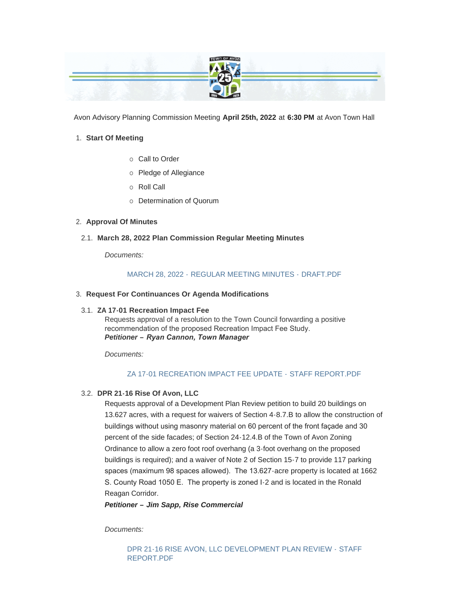

Avon Advisory Planning Commission Meeting **April 25th, 2022** at **6:30 PM** at Avon Town Hall

# **Start Of Meeting** 1.

- $\circ$  Call to Order
- o Pledge of Allegiance
- o Roll Call
- o Determination of Quorum

# **Approval Of Minutes** 2.

**March 28, 2022 Plan Commission Regular Meeting Minutes** 2.1.

*Documents:*

# MARCH 28, 2022 - [REGULAR MEETING MINUTES -](https://www.avongov.org/AgendaCenter/ViewFile/Item/369?fileID=264) DRAFT.PDF

**Request For Continuances Or Agenda Modifications** 3.

# **ZA 17-01 Recreation Impact Fee** 3.1.

Requests approval of a resolution to the Town Council forwarding a positive recommendation of the proposed Recreation Impact Fee Study. *Petitioner – Ryan Cannon, Town Manager* 

*Documents:*

# [ZA 17-01 RECREATION IMPACT FEE UPDATE -](https://www.avongov.org/AgendaCenter/ViewFile/Item/289?fileID=261) STAFF REPORT.PDF

# **DPR 21-16 Rise Of Avon, LLC** 3.2.

Requests approval of a Development Plan Review petition to build 20 buildings on 13.627 acres, with a request for waivers of Section 4-8.7.B to allow the construction of buildings without using masonry material on 60 percent of the front façade and 30 percent of the side facades; of Section 24-12.4.B of the Town of Avon Zoning Ordinance to allow a zero foot roof overhang (a 3-foot overhang on the proposed buildings is required); and a waiver of Note 2 of Section 15-7 to provide 117 parking spaces (maximum 98 spaces allowed). The 13.627-acre property is located at 1662 S. County Road 1050 E. The property is zoned I-2 and is located in the Ronald Reagan Corridor.

*Petitioner – Jim Sapp, Rise Commercial*

*Documents:*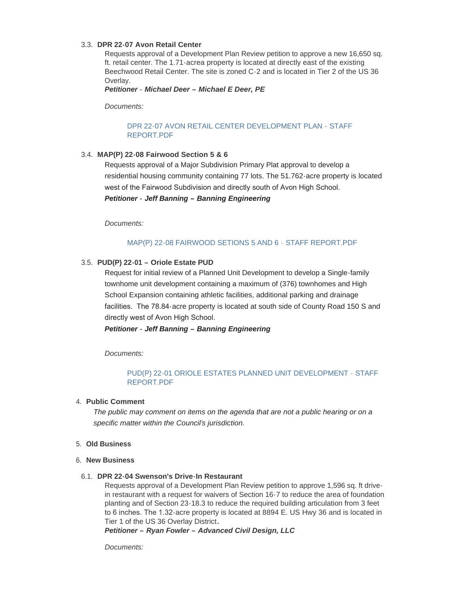### **DPR 22-07 Avon Retail Center**  3.3.

Requests approval of a Development Plan Review petition to approve a new 16,650 sq. ft. retail center. The 1.71-acrea property is located at directly east of the existing Beechwood Retail Center. The site is zoned C-2 and is located in Tier 2 of the US 36 Overlay.

*Petitioner - Michael Deer – Michael E Deer, PE*

*Documents:*

## [DPR 22-07 AVON RETAIL CENTER DEVELOPMENT PLAN -](https://www.avongov.org/AgendaCenter/ViewFile/Item/294?fileID=252) STAFF REPORT.PDF

### **MAP(P) 22-08 Fairwood Section 5 & 6**  3.4.

Requests approval of a Major Subdivision Primary Plat approval to develop a residential housing community containing 77 lots. The 51.762-acre property is located west of the Fairwood Subdivision and directly south of Avon High School. *Petitioner - Jeff Banning – Banning Engineering*

*Documents:*

## [MAP\(P\) 22-08 FAIRWOOD SETIONS 5 AND 6 -](https://www.avongov.org/AgendaCenter/ViewFile/Item/298?fileID=283) STAFF REPORT.PDF

## **PUD(P) 22-01 – Oriole Estate PUD**  3.5.

Request for initial review of a Planned Unit Development to develop a Single-family townhome unit development containing a maximum of (376) townhomes and High School Expansion containing athletic facilities, additional parking and drainage facilities. The 78.84-acre property is located at south side of County Road 150 S and directly west of Avon High School.

*Petitioner - Jeff Banning – Banning Engineering*

*Documents:*

## [PUD\(P\) 22-01 ORIOLE ESTATES PLANNED UNIT DEVELOPMENT -](https://www.avongov.org/AgendaCenter/ViewFile/Item/299?fileID=260) STAFF REPORT.PDF

### **Public Comment** 4.

*The public may comment on items on the agenda that are not a public hearing or on a specific matter within the Council's jurisdiction.*

- **Old Business** 5.
- **New Business** 6.
- **DPR 22-04 Swenson's Drive-In Restaurant** 6.1.

Requests approval of a Development Plan Review petition to approve 1,596 sq. ft drivein restaurant with a request for waivers of Section 16-7 to reduce the area of foundation planting and of Section 23-18.3 to reduce the required building articulation from 3 feet to 6 inches. The 1.32-acre property is located at 8894 E. US Hwy 36 and is located in Tier 1 of the US 36 Overlay District**.** 

*Petitioner – Ryan Fowler – Advanced Civil Design, LLC*

*Documents:*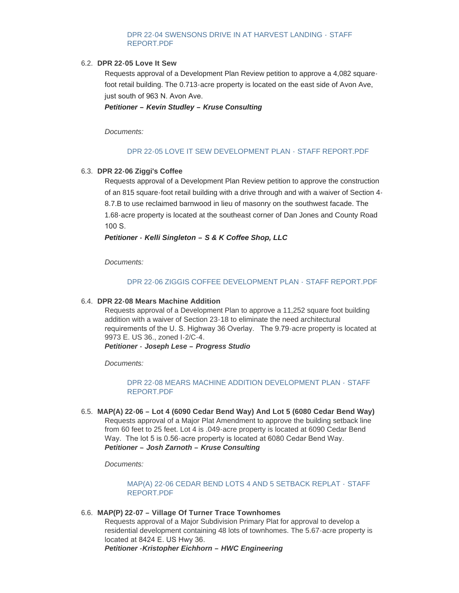## [DPR 22-04 SWENSONS DRIVE IN AT HARVEST LANDING -](https://www.avongov.org/AgendaCenter/ViewFile/Item/291?fileID=253) STAFF REPORT.PDF

#### **DPR 22-05 Love It Sew** 6.2.

Requests approval of a Development Plan Review petition to approve a 4,082 squarefoot retail building. The 0.713-acre property is located on the east side of Avon Ave, just south of 963 N. Avon Ave.

*Petitioner – Kevin Studley – Kruse Consulting*

*Documents:*

#### [DPR 22-05 LOVE IT SEW DEVELOPMENT PLAN -](https://www.avongov.org/AgendaCenter/ViewFile/Item/293?fileID=254) STAFF REPORT PDF

#### **DPR 22-06 Ziggi's Coffee**  6.3.

Requests approval of a Development Plan Review petition to approve the construction of an 815 square-foot retail building with a drive through and with a waiver of Section 4- 8.7.B to use reclaimed barnwood in lieu of masonry on the southwest facade. The 1.68-acre property is located at the southeast corner of Dan Jones and County Road 100 S.

*Petitioner - Kelli Singleton – S & K Coffee Shop, LLC*

*Documents:*

#### [DPR 22-06 ZIGGIS COFFEE DEVELOPMENT PLAN -](https://www.avongov.org/AgendaCenter/ViewFile/Item/292?fileID=255) STAFF REPORT PDF

#### **DPR 22-08 Mears Machine Addition** 6.4.

Requests approval of a Development Plan to approve a 11,252 square foot building addition with a waiver of Section 23-18 to eliminate the need architectural requirements of the U. S. Highway 36 Overlay. The 9.79-acre property is located at 9973 E. US 36., zoned I-2/C-4.

*Petitioner - Joseph Lese – Progress Studio*

*Documents:*

## [DPR 22-08 MEARS MACHINE ADDITION DEVELOPMENT PLAN -](https://www.avongov.org/AgendaCenter/ViewFile/Item/295?fileID=256) STAFF REPORT.PDF

**MAP(A) 22-06 – Lot 4 (6090 Cedar Bend Way) And Lot 5 (6080 Cedar Bend Way)**  6.5. Requests approval of a Major Plat Amendment to approve the building setback line from 60 feet to 25 feet. Lot 4 is .049-acre property is located at 6090 Cedar Bend Way. The lot 5 is 0.56-acre property is located at 6080 Cedar Bend Way. *Petitioner – Josh Zarnoth – Kruse Consulting*

*Documents:*

### [MAP\(A\) 22-06 CEDAR BEND LOTS 4 AND 5 SETBACK REPLAT -](https://www.avongov.org/AgendaCenter/ViewFile/Item/296?fileID=257) STAFF REPORT.PDF

#### **MAP(P) 22-07 – Village Of Turner Trace Townhomes**  6.6.

Requests approval of a Major Subdivision Primary Plat for approval to develop a residential development containing 48 lots of townhomes. The 5.67-acre property is located at 8424 E. US Hwy 36.

*Petitioner -Kristopher Eichhorn – HWC Engineering*